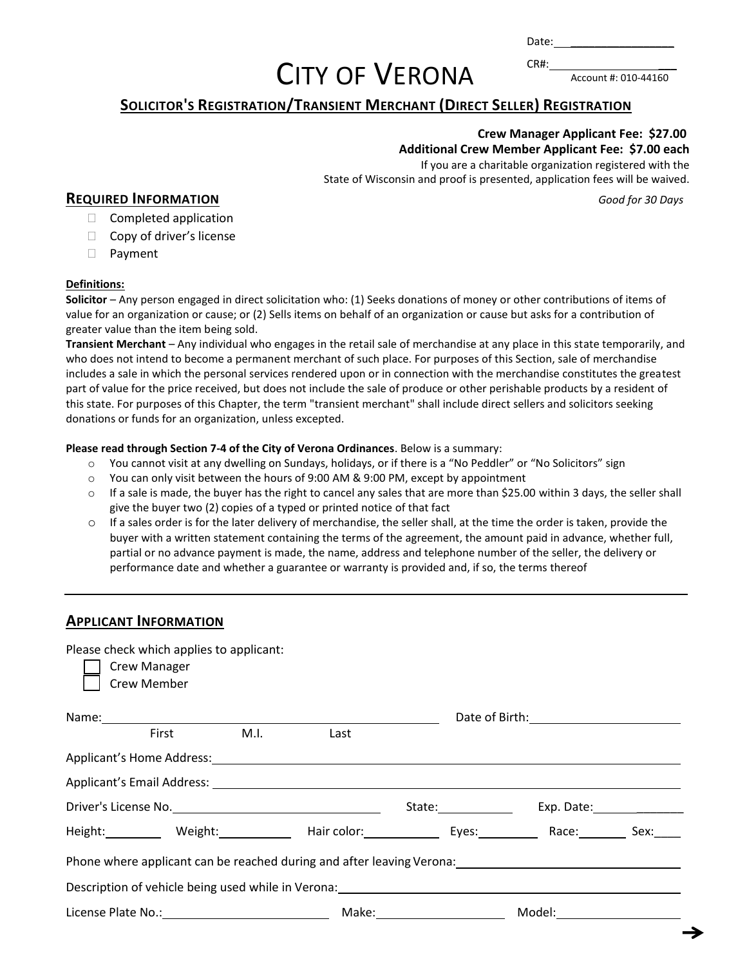Date:  $CR#$ :

# CITY OF VERONA

Account #: 010-44160

### **SOLICITOR'S REGISTRATION/TRANSIENT MERCHANT (DIRECT SELLER) REGISTRATION**

#### **Crew Manager Applicant Fee: \$27.00 Additional Crew Member Applicant Fee: \$7.00 each**

If you are a charitable organization registered with the State of Wisconsin and proof is presented, application fees will be waived.

#### **REQUIRED INFORMATION** *Good for 30 Days*

- $\Box$  Completed application
- $\Box$  Copy of driver's license
- Payment

#### **Definitions:**

**Solicitor** – Any person engaged in direct solicitation who: (1) Seeks donations of money or other contributions of items of value for an organization or cause; or (2) Sells items on behalf of an organization or cause but asks for a contribution of greater value than the item being sold.

**Transient Merchant** – Any individual who engages in the retail sale of merchandise at any place in this state temporarily, and who does not intend to become a permanent merchant of such place. For purposes of this Section, sale of merchandise includes a sale in which the personal services rendered upon or in connection with the merchandise constitutes the greatest part of value for the price received, but does not include the sale of produce or other perishable products by a resident of this state. For purposes of this Chapter, the term "transient merchant" shall include direct sellers and solicitors seeking donations or funds for an organization, unless excepted.

#### **Please read through Section 7-4 of the City of Verona Ordinances**. Below is a summary:

- o You cannot visit at any dwelling on Sundays, holidays, or if there is a "No Peddler" or "No Solicitors" sign
- $\circ$  You can only visit between the hours of 9:00 AM & 9:00 PM, except by appointment
- o If a sale is made, the buyer has the right to cancel any sales that are more than \$25.00 within 3 days, the seller shall give the buyer two (2) copies of a typed or printed notice of that fact
- $\circ$  If a sales order is for the later delivery of merchandise, the seller shall, at the time the order is taken, provide the buyer with a written statement containing the terms of the agreement, the amount paid in advance, whether full, partial or no advance payment is made, the name, address and telephone number of the seller, the delivery or performance date and whether a guarantee or warranty is provided and, if so, the terms thereof

#### **APPLICANT INFORMATION**

Please check which applies to applicant:

| <b>Crew Manager</b><br><b>Crew Member</b>                                                                                                                                                                                      |                                  |                      |            |      |  |  |  |
|--------------------------------------------------------------------------------------------------------------------------------------------------------------------------------------------------------------------------------|----------------------------------|----------------------|------------|------|--|--|--|
|                                                                                                                                                                                                                                |                                  |                      |            |      |  |  |  |
| M.I.<br><b>First</b>                                                                                                                                                                                                           | Last                             |                      |            |      |  |  |  |
| Applicant's Home Address: Note and the set of the set of the set of the set of the set of the set of the set of the set of the set of the set of the set of the set of the set of the set of the set of the set of the set of  |                                  |                      |            |      |  |  |  |
|                                                                                                                                                                                                                                |                                  |                      |            |      |  |  |  |
|                                                                                                                                                                                                                                |                                  | State: _____________ | Exp. Date: |      |  |  |  |
| Height: Meight: Weight: Hair color: Eyes: Nace: Nace: Negative Arce: Nace: Nace: Negative Arce: Negative Arce: N                                                                                                               |                                  |                      |            | Sex: |  |  |  |
| Phone where applicant can be reached during and after leaving Verona: Later and the control of the phone of the control of the control of the control of the control of the control of the control of the control of the contr |                                  |                      |            |      |  |  |  |
| Description of vehicle being used while in Verona: Description of vehicle states and the property of the state of the state of the state of the state of the state of the state of the state of the state of the state of the  |                                  |                      |            |      |  |  |  |
|                                                                                                                                                                                                                                | Make:___________________________ |                      |            |      |  |  |  |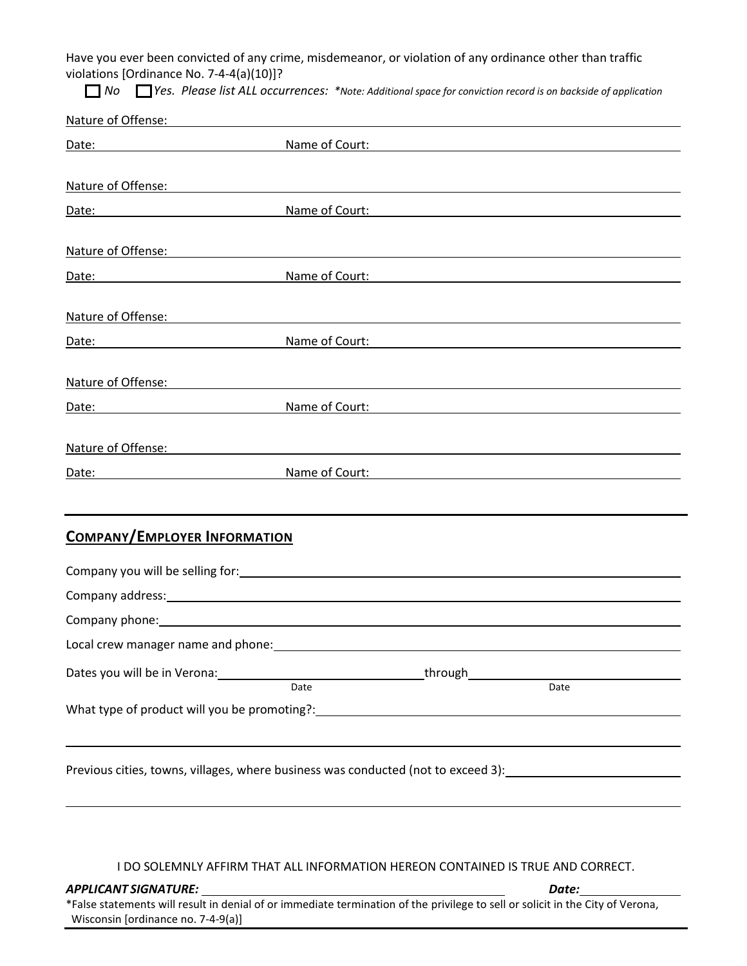Have you ever been convicted of any crime, misdemeanor, or violation of any ordinance other than traffic violations [Ordinance No. 7-4-4(a)(10)]?

*No Yes. Please list ALL occurrences: \*Note: Additional space for conviction record is on backside of application*

| Nature of Offense:                                                                                                                                                                                                                  |                                                                                                                       |                                                               |  |
|-------------------------------------------------------------------------------------------------------------------------------------------------------------------------------------------------------------------------------------|-----------------------------------------------------------------------------------------------------------------------|---------------------------------------------------------------|--|
| Date:                                                                                                                                                                                                                               | Name of Court:                                                                                                        | <u> 1989 - Johann Stein, mars an deutscher Stein († 1989)</u> |  |
|                                                                                                                                                                                                                                     |                                                                                                                       |                                                               |  |
| Nature of Offense: Nature of Offense:                                                                                                                                                                                               |                                                                                                                       |                                                               |  |
| Mame of Court:<br>Date:                                                                                                                                                                                                             |                                                                                                                       |                                                               |  |
| Nature of Offense:                                                                                                                                                                                                                  | <u> 1980 - Johann Stoff, deutscher Stoff, der Stoff, der Stoff, der Stoff, der Stoff, der Stoff, der Stoff, der S</u> |                                                               |  |
| Date: <u>Date:</u> Name of Court:                                                                                                                                                                                                   |                                                                                                                       |                                                               |  |
| Nature of Offense: Nature of Offense:                                                                                                                                                                                               |                                                                                                                       |                                                               |  |
| Date:<br><u> 1980 - Jan James Barnett, mars et al. (</u>                                                                                                                                                                            | Name of Court:                                                                                                        |                                                               |  |
| Nature of Offense:                                                                                                                                                                                                                  | <u> 1980 - Andrea Station Barbara, amerikan personal (h. 1980).</u>                                                   |                                                               |  |
| Mame of Court:<br>Date:                                                                                                                                                                                                             |                                                                                                                       | <u> 1989 - Johann Barbara, martxa alemaniar amerikan a</u>    |  |
| Nature of Offense: Nature of Offense:                                                                                                                                                                                               |                                                                                                                       |                                                               |  |
| Date:<br><u> 1980 - Johann Barbara, martin d</u>                                                                                                                                                                                    | Name of Court:                                                                                                        |                                                               |  |
| <b>COMPANY/EMPLOYER INFORMATION</b>                                                                                                                                                                                                 |                                                                                                                       |                                                               |  |
|                                                                                                                                                                                                                                     |                                                                                                                       |                                                               |  |
|                                                                                                                                                                                                                                     |                                                                                                                       |                                                               |  |
| Company phone: example of the state of the state of the state of the state of the state of the state of the state of the state of the state of the state of the state of the state of the state of the state of the state of t      |                                                                                                                       |                                                               |  |
| Local crew manager name and phone:                                                                                                                                                                                                  |                                                                                                                       |                                                               |  |
| Dates you will be in Verona: <u>Date</u> by Date by Date by Library and Date by Date by Date by Date by Date by Date by Date by Date by Date by Date by Date by Date by Date by Date by Date by Date by Date by Date by Date by Dat |                                                                                                                       |                                                               |  |
|                                                                                                                                                                                                                                     |                                                                                                                       |                                                               |  |
|                                                                                                                                                                                                                                     |                                                                                                                       |                                                               |  |
| Previous cities, towns, villages, where business was conducted (not to exceed 3): [100] [10] Previous cities, towns, villages, where business was conducted (not to exceed 3):                                                      |                                                                                                                       |                                                               |  |
|                                                                                                                                                                                                                                     |                                                                                                                       |                                                               |  |

I DO SOLEMNLY AFFIRM THAT ALL INFORMATION HEREON CONTAINED IS TRUE AND CORRECT.

*APPLICANT SIGNATURE: Date:* 

\*False statements will result in denial of or immediate termination of the privilege to sell or solicit in the City of Verona, Wisconsin [ordinance no. 7-4-9(a)]